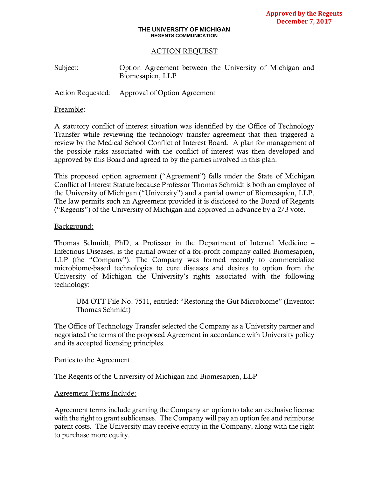#### **THE UNIVERSITY OF MICHIGAN REGENTS COMMUNICATION**

### ACTION REQUEST

Subject: Option Agreement between the University of Michigan and Biomesapien, LLP

Action Requested: Approval of Option Agreement

### Preamble:

A statutory conflict of interest situation was identified by the Office of Technology Transfer while reviewing the technology transfer agreement that then triggered a review by the Medical School Conflict of Interest Board. A plan for management of the possible risks associated with the conflict of interest was then developed and approved by this Board and agreed to by the parties involved in this plan.

This proposed option agreement ("Agreement") falls under the State of Michigan Conflict of Interest Statute because Professor Thomas Schmidt is both an employee of the University of Michigan ("University") and a partial owner of Biomesapien, LLP. The law permits such an Agreement provided it is disclosed to the Board of Regents ("Regents") of the University of Michigan and approved in advance by a 2/3 vote.

### Background:

Thomas Schmidt, PhD, a Professor in the Department of Internal Medicine – Infectious Diseases, is the partial owner of a for-profit company called Biomesapien, LLP (the "Company"). The Company was formed recently to commercialize microbiome-based technologies to cure diseases and desires to option from the University of Michigan the University's rights associated with the following technology:

UM OTT File No. 7511, entitled: "Restoring the Gut Microbiome" (Inventor: Thomas Schmidt)

The Office of Technology Transfer selected the Company as a University partner and negotiated the terms of the proposed Agreement in accordance with University policy and its accepted licensing principles.

### Parties to the Agreement:

The Regents of the University of Michigan and Biomesapien, LLP

### Agreement Terms Include:

Agreement terms include granting the Company an option to take an exclusive license with the right to grant sublicenses. The Company will pay an option fee and reimburse patent costs. The University may receive equity in the Company, along with the right to purchase more equity.